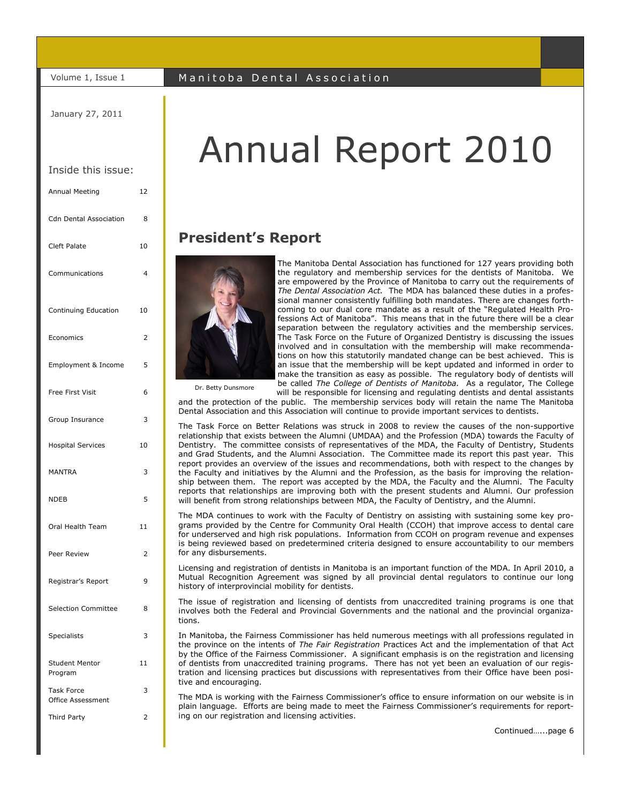January 27, 2011

#### Inside this issue:

| Annual Meeting                                | 12             |
|-----------------------------------------------|----------------|
| <b>Cdn Dental Association</b>                 | 8              |
| <b>Cleft Palate</b>                           | 10             |
| Communications                                | 4              |
| Continuing Education                          | 10             |
| Economics                                     | 2              |
| Employment & Income                           | 5              |
| Free First Visit                              | 6              |
| Group Insurance                               | 3              |
| <b>Hospital Services</b>                      | 10             |
| <b>MANTRA</b>                                 | 3              |
| <b>NDEB</b>                                   | 5              |
| Oral Health Team                              | 11             |
| Peer Review                                   | $\overline{2}$ |
| Registrar's Report                            | 9              |
| <b>Selection Committee</b>                    | 8              |
| Specialists                                   | 3              |
| <b>Student Mentor</b><br>Program              | 11             |
| <b>Task Force</b><br><b>Office Assessment</b> | 3              |
| Third Party                                   | 2              |
|                                               |                |

# Annual Report 2010

#### **President's Report**



The Manitoba Dental Association has functioned for 127 years providing both the regulatory and membership services for the dentists of Manitoba. We are empowered by the Province of Manitoba to carry out the requirements of *The Dental Association Act.* The MDA has balanced these duties in a professional manner consistently fulfilling both mandates. There are changes forthcoming to our dual core mandate as a result of the "Regulated Health Professions Act of Manitoba". This means that in the future there will be a clear separation between the regulatory activities and the membership services. The Task Force on the Future of Organized Dentistry is discussing the issues involved and in consultation with the membership will make recommendations on how this statutorily mandated change can be best achieved. This is an issue that the membership will be kept updated and informed in order to make the transition as easy as possible. The regulatory body of dentists will be called *The College of Dentists of Manitoba.* As a regulator, The College

Dr. Betty Dunsmore

will be responsible for licensing and regulating dentists and dental assistants and the protection of the public. The membership services body will retain the name The Manitoba Dental Association and this Association will continue to provide important services to dentists.

The Task Force on Better Relations was struck in 2008 to review the causes of the non-supportive relationship that exists between the Alumni (UMDAA) and the Profession (MDA) towards the Faculty of Dentistry. The committee consists of representatives of the MDA, the Faculty of Dentistry, Students and Grad Students, and the Alumni Association. The Committee made its report this past year. This report provides an overview of the issues and recommendations, both with respect to the changes by the Faculty and initiatives by the Alumni and the Profession, as the basis for improving the relationship between them. The report was accepted by the MDA, the Faculty and the Alumni. The Faculty reports that relationships are improving both with the present students and Alumni. Our profession will benefit from strong relationships between MDA, the Faculty of Dentistry, and the Alumni.

The MDA continues to work with the Faculty of Dentistry on assisting with sustaining some key programs provided by the Centre for Community Oral Health (CCOH) that improve access to dental care for underserved and high risk populations. Information from CCOH on program revenue and expenses is being reviewed based on predetermined criteria designed to ensure accountability to our members for any disbursements.

Licensing and registration of dentists in Manitoba is an important function of the MDA. In April 2010, a Mutual Recognition Agreement was signed by all provincial dental regulators to continue our long history of interprovincial mobility for dentists.

The issue of registration and licensing of dentists from unaccredited training programs is one that involves both the Federal and Provincial Governments and the national and the provincial organizations.

In Manitoba, the Fairness Commissioner has held numerous meetings with all professions regulated in the province on the intents of *The Fair Registration* Practices Act and the implementation of that Act by the Office of the Fairness Commissioner. A significant emphasis is on the registration and licensing of dentists from unaccredited training programs. There has not yet been an evaluation of our registration and licensing practices but discussions with representatives from their Office have been positive and encouraging.

The MDA is working with the Fairness Commissioner's office to ensure information on our website is in plain language. Efforts are being made to meet the Fairness Commissioner's requirements for reporting on our registration and licensing activities.

Continued…...page 6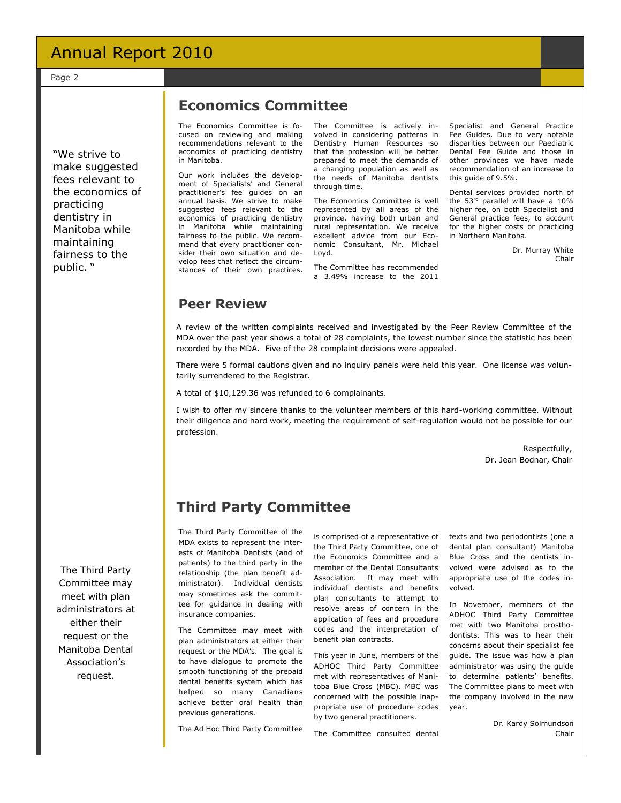Page 2

―We strive to make suggested fees relevant to the economics of practicing dentistry in Manitoba while maintaining fairness to the public. "

#### **Economics Committee**

The Economics Committee is focused on reviewing and making recommendations relevant to the economics of practicing dentistry in Manitoba.

Our work includes the development of Specialists' and General practitioner's fee guides on an annual basis. We strive to make suggested fees relevant to the economics of practicing dentistry in Manitoba while maintaining fairness to the public. We recommend that every practitioner consider their own situation and develop fees that reflect the circumstances of their own practices.

The Committee is actively involved in considering patterns in Dentistry Human Resources so that the profession will be better prepared to meet the demands of a changing population as well as the needs of Manitoba dentists through time.

The Economics Committee is well represented by all areas of the province, having both urban and rural representation. We receive excellent advice from our Economic Consultant, Mr. Michael Loyd.

The Committee has recommended a 3.49% increase to the 2011 Specialist and General Practice Fee Guides. Due to very notable disparities between our Paediatric Dental Fee Guide and those in other provinces we have made recommendation of an increase to this guide of 9.5%.

Dental services provided north of the 53<sup>rd</sup> parallel will have a 10% higher fee, on both Specialist and General practice fees, to account for the higher costs or practicing in Northern Manitoba.

> Dr. Murray White Chair

#### **Peer Review**

A review of the written complaints received and investigated by the Peer Review Committee of the MDA over the past year shows a total of 28 complaints, the lowest number since the statistic has been recorded by the MDA. Five of the 28 complaint decisions were appealed.

There were 5 formal cautions given and no inquiry panels were held this year. One license was voluntarily surrendered to the Registrar.

A total of \$10,129.36 was refunded to 6 complainants.

I wish to offer my sincere thanks to the volunteer members of this hard-working committee. Without their diligence and hard work, meeting the requirement of self-regulation would not be possible for our profession.

> Respectfully, Dr. Jean Bodnar, Chair

### **Third Party Committee**

The Third Party Committee of the MDA exists to represent the interests of Manitoba Dentists (and of patients) to the third party in the relationship (the plan benefit administrator). Individual dentists may sometimes ask the committee for guidance in dealing with insurance companies.

The Committee may meet with plan administrators at either their request or the MDA's. The goal is to have dialogue to promote the smooth functioning of the prepaid dental benefits system which has helped so many Canadians achieve better oral health than previous generations.

The Ad Hoc Third Party Committee

is comprised of a representative of the Third Party Committee, one of the Economics Committee and a member of the Dental Consultants Association. It may meet with individual dentists and benefits plan consultants to attempt to resolve areas of concern in the application of fees and procedure codes and the interpretation of benefit plan contracts.

This year in June, members of the ADHOC Third Party Committee met with representatives of Manitoba Blue Cross (MBC). MBC was concerned with the possible inappropriate use of procedure codes by two general practitioners.

The Committee consulted dental

texts and two periodontists (one a dental plan consultant) Manitoba Blue Cross and the dentists involved were advised as to the appropriate use of the codes involved.

In November, members of the ADHOC Third Party Committee met with two Manitoba prosthodontists. This was to hear their concerns about their specialist fee guide. The issue was how a plan administrator was using the guide to determine patients' benefits. The Committee plans to meet with the company involved in the new year.

> Dr. Kardy Solmundson Chair

The Third Party Committee may meet with plan administrators at either their request or the Manitoba Dental Association's request.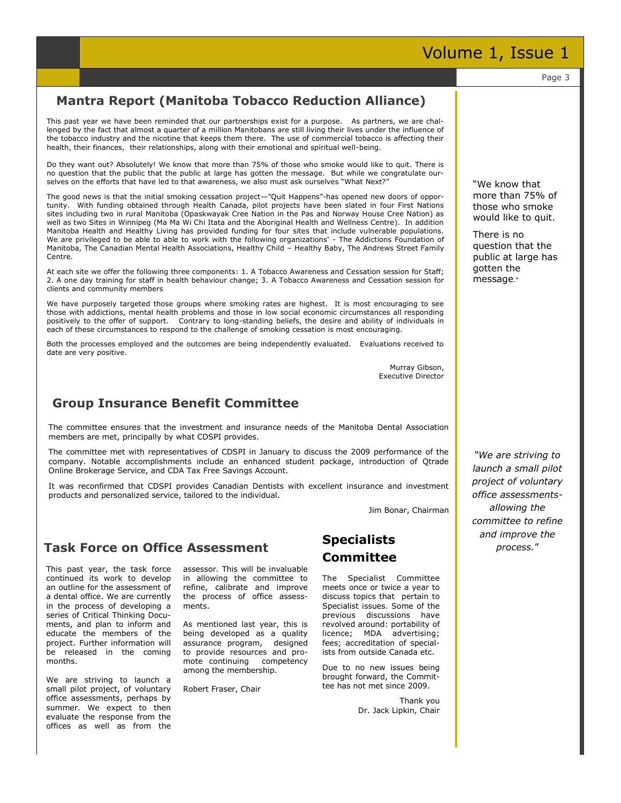#### This past year we have been reminded that our partnerships exist for a purpose. As partners, we are challenged by the fact that almost a quarter of a million Manitobans are still living their lives under the influence of the tobacco industry and the nicotine that keeps them there. The use of commercial tobacco is affecting their health, their finances, their relationships, along with their emotional and spiritual well-being. Do they want out? Absolutely! We know that more than 75% of those who smoke would like to quit. There is no question that the public that the public at large has gotten the message. But while we congratulate ourselves on the efforts that have led to that awareness, we also must ask ourselves "What Next?" The good news is that the initial smoking cessation project—"Quit Happens"-has opened new doors of opportunity. With funding obtained through Health Canada, pilot projects have been slated in four First Nations sites including two in rural Manitoba (Opaskwayak Cree Nation in the Pas and Norway House Cree Nation) as well as two Sites in Winnipeg (Ma Ma Wi Chi Itata and the Aboriginal Health and Wellness Centre). In addition Manitoba Health and Healthy Living has provided funding for four sites that include vulnerable populations. We are privileged to be able to able to work with the following organizations' - The Addictions Foundation of Manitoba, The Canadian Mental Health Associations, Healthy Child – Healthy Baby, The Andrews Street Family Centre. At each site we offer the following three components: 1. A Tobacco Awareness and Cessation session for Staff; 2. A one day training for staff in health behaviour change; 3. A Tobacco Awareness and Cessation session for clients and community members We have purposely targeted those groups where smoking rates are highest. It is most encouraging to see those with addictions, mental health problems and those in low social economic circumstances all responding positively to the offer of support. Contrary to long-standing beliefs, the desire and ability of individuals in each of these circumstances to respond to the challenge of smoking cessation is most encouraging. Both the processes employed and the outcomes are being independently evaluated. Evaluations received to date are very positive. Murray Gibson, Executive Director The committee ensures that the investment and insurance needs of the Manitoba Dental Association members are met, principally by what CDSPI provides. The committee met with representatives of CDSPI in January to discuss the 2009 performance of the company. Notable accomplishments include an enhanced student package, introduction of Qtrade Online Brokerage Service, and CDA Tax Free Savings Account. It was reconfirmed that CDSPI provides Canadian Dentists with excellent insurance and investment products and personalized service, tailored to the individual. Jim Bonar, Chairman assessor. This will be invaluable in allowing the committee to refine, calibrate and improve the process of office assessments. As mentioned last year, this is being developed as a quality assurance program, designed to provide resources and promote continuing competency among the membership. Robert Fraser, Chair This past year, the task force continued its work to develop an outline for the assessment of a dental office. We are currently in the process of developing a series of Critical Thinking Documents, and plan to inform and educate the members of the project. Further information will be released in the coming months. We are striving to launch a small pilot project, of voluntary office assessments, perhaps by summer. We expect to then evaluate the response from the offices as well as from the **Mantra Report (Manitoba Tobacco Reduction Alliance) Task Force on Office Assessment** *"We are striving to launch a small pilot project of voluntary office assessmentsallowing the committee to refine and improve the process.*‖ Page 3 **Group Insurance Benefit Committee Specialists Committee** The Specialist Committee meets once or twice a year to discuss topics that pertain to Specialist issues. Some of the previous discussions have revolved around: portability of licence; MDA advertising; fees; accreditation of specialists from outside Canada etc. Due to no new issues being brought forward, the Committee has not met since 2009. Thank you Dr. Jack Lipkin, Chair ―We know that more than 75% of those who smoke would like to quit. There is no question that the public at large has gotten the message."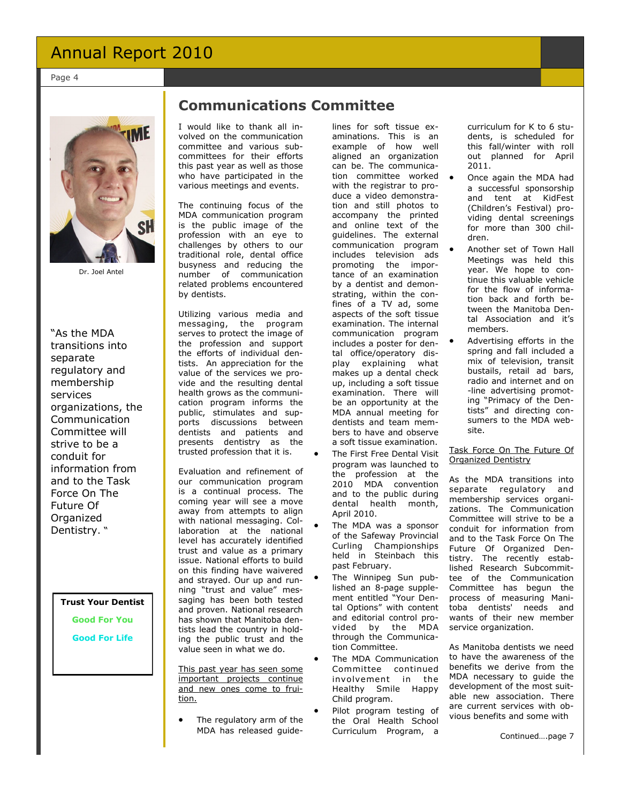Page 4



Dr. Joel Antel

"As the MDA transitions into separate regulatory and membership services organizations, the Communication Committee will strive to be a conduit for information from and to the Task Force On The Future Of Organized Dentistry. "

**Trust Your Dentist**

**Good For You**

**Good For Life**

### **Communications Committee**

I would like to thank all involved on the communication committee and various subcommittees for their efforts this past year as well as those who have participated in the various meetings and events.

The continuing focus of the MDA communication program is the public image of the profession with an eye to challenges by others to our traditional role, dental office busyness and reducing the number of communication related problems encountered by dentists.

Utilizing various media and messaging, the program serves to protect the image of the profession and support the efforts of individual dentists. An appreciation for the value of the services we provide and the resulting dental health grows as the communication program informs the public, stimulates and supports discussions between dentists and patients and presents dentistry as the trusted profession that it is.

Evaluation and refinement of our communication program is a continual process. The coming year will see a move away from attempts to align with national messaging. Collaboration at the national level has accurately identified trust and value as a primary issue. National efforts to build on this finding have waivered and strayed. Our up and running "trust and value" messaging has been both tested and proven. National research has shown that Manitoba dentists lead the country in holding the public trust and the value seen in what we do.

This past year has seen some important projects continue and new ones come to fruition.

 The regulatory arm of the MDA has released guide-

lines for soft tissue examinations. This is an example of how well aligned an organization can be. The communication committee worked with the registrar to produce a video demonstration and still photos to accompany the printed and online text of the guidelines. The external communication program includes television ads promoting the importance of an examination by a dentist and demonstrating, within the confines of a TV ad, some aspects of the soft tissue examination. The internal communication program includes a poster for dental office/operatory display explaining what makes up a dental check up, including a soft tissue examination. There will be an opportunity at the MDA annual meeting for dentists and team members to have and observe a soft tissue examination.

- The First Free Dental Visit program was launched to the profession at the 2010 MDA convention and to the public during dental health month, April 2010.
- The MDA was a sponsor of the Safeway Provincial Curling Championships held in Steinbach this past February.
- The Winnipeg Sun published an 8-page supplement entitled "Your Dental Options" with content and editorial control provided by the MDA through the Communication Committee.
- The MDA Communication Committee continued involvement in the Healthy Smile Happy Child program.
- Pilot program testing of the Oral Health School Curriculum Program, a

curriculum for K to 6 students, is scheduled for this fall/winter with roll out planned for April 2011.

- Once again the MDA had a successful sponsorship and tent at KidFest (Children's Festival) providing dental screenings for more than 300 children.
- Another set of Town Hall Meetings was held this year. We hope to continue this valuable vehicle for the flow of information back and forth between the Manitoba Dental Association and it's members.
- Advertising efforts in the spring and fall included a mix of television, transit bustails, retail ad bars, radio and internet and on -line advertising promoting "Primacy of the Dentists" and directing consumers to the MDA website.

#### Task Force On The Future Of Organized Dentistry

As the MDA transitions into separate regulatory and membership services organizations. The Communication Committee will strive to be a conduit for information from and to the Task Force On The Future Of Organized Dentistry. The recently established Research Subcommittee of the Communication Committee has begun the process of measuring Manitoba dentists' needs and wants of their new member service organization.

As Manitoba dentists we need to have the awareness of the benefits we derive from the MDA necessary to guide the development of the most suitable new association. There are current services with obvious benefits and some with

Continued….page 7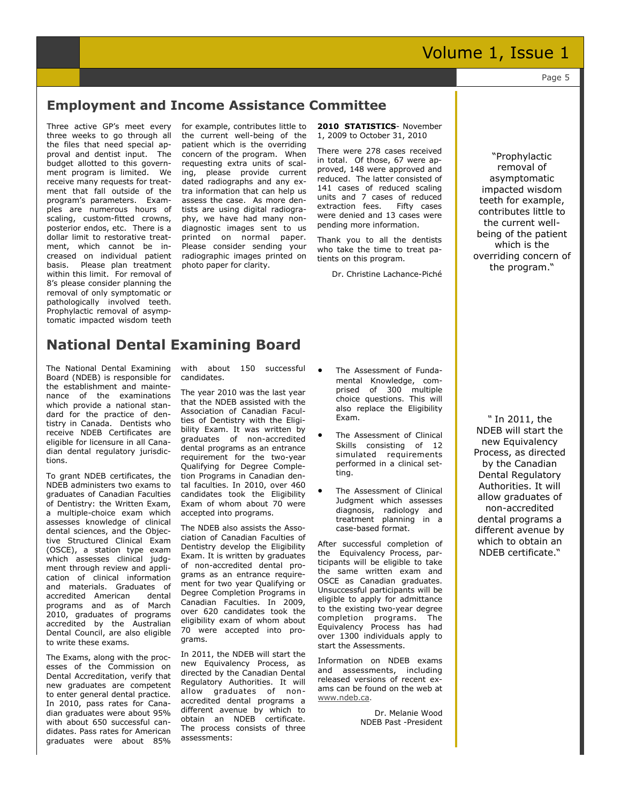#### Page 5

#### **Employment and Income Assistance Committee**

Three active GP's meet every three weeks to go through all the files that need special approval and dentist input. The budget allotted to this government program is limited. We receive many requests for treatment that fall outside of the program's parameters. Examples are numerous hours of scaling, custom-fitted crowns, posterior endos, etc. There is a dollar limit to restorative treatment, which cannot be increased on individual patient basis. Please plan treatment within this limit. For removal of 8's please consider planning the removal of only symptomatic or pathologically involved teeth. Prophylactic removal of asymptomatic impacted wisdom teeth

for example, contributes little to the current well-being of the patient which is the overriding concern of the program. When requesting extra units of scaling, please provide current dated radiographs and any extra information that can help us assess the case. As more dentists are using digital radiography, we have had many nondiagnostic images sent to us printed on normal paper. Please consider sending your radiographic images printed on photo paper for clarity.

**2010 STATISTICS**- November 1, 2009 to October 31, 2010

There were 278 cases received in total. Of those, 67 were approved, 148 were approved and reduced. The latter consisted of 141 cases of reduced scaling units and 7 cases of reduced extraction fees. Fifty cases were denied and 13 cases were pending more information.

Thank you to all the dentists who take the time to treat patients on this program.

Dr. Christine Lachance-Piché

―Prophylactic removal of asymptomatic impacted wisdom teeth for example, contributes little to the current wellbeing of the patient which is the overriding concern of the program."

#### **National Dental Examining Board**

The National Dental Examining Board (NDEB) is responsible for the establishment and maintenance of the examinations which provide a national standard for the practice of dentistry in Canada. Dentists who receive NDEB Certificates are eligible for licensure in all Canadian dental regulatory jurisdictions.

To grant NDEB certificates, the NDEB administers two exams to graduates of Canadian Faculties of Dentistry: the Written Exam, a multiple-choice exam which assesses knowledge of clinical dental sciences, and the Objective Structured Clinical Exam (OSCE), a station type exam which assesses clinical judgment through review and application of clinical information and materials. Graduates of accredited American dental programs and as of March 2010, graduates of programs accredited by the Australian Dental Council, are also eligible to write these exams.

The Exams, along with the processes of the Commission on Dental Accreditation, verify that new graduates are competent to enter general dental practice. In 2010, pass rates for Canadian graduates were about 95% with about 650 successful candidates. Pass rates for American graduates were about 85%

with about 150 successful candidates.

The year 2010 was the last year that the NDEB assisted with the Association of Canadian Faculties of Dentistry with the Eligibility Exam. It was written by graduates of non-accredited dental programs as an entrance requirement for the two-year Qualifying for Degree Completion Programs in Canadian dental faculties. In 2010, over 460 candidates took the Eligibility Exam of whom about 70 were accepted into programs.

The NDEB also assists the Association of Canadian Faculties of Dentistry develop the Eligibility Exam. It is written by graduates of non-accredited dental programs as an entrance requirement for two year Qualifying or Degree Completion Programs in Canadian Faculties. In 2009, over 620 candidates took the eligibility exam of whom about 70 were accepted into programs.

In 2011, the NDEB will start the new Equivalency Process, as directed by the Canadian Dental Regulatory Authorities. It will allow graduates of nonaccredited dental programs a different avenue by which to obtain an NDEB certificate. The process consists of three assessments:

- The Assessment of Fundamental Knowledge, comprised of 300 multiple choice questions. This will also replace the Eligibility Exam.
- The Assessment of Clinical Skills consisting of 12 simulated requirements performed in a clinical setting.
- The Assessment of Clinical Judgment which assesses diagnosis, radiology and treatment planning in a case-based format.

After successful completion of the Equivalency Process, participants will be eligible to take the same written exam and OSCE as Canadian graduates. Unsuccessful participants will be eligible to apply for admittance to the existing two-year degree completion programs. The Equivalency Process has had over 1300 individuals apply to start the Assessments.

Information on NDEB exams and assessments, including released versions of recent exams can be found on the web at [www.ndeb.ca.](http://www.ndeb.ca/)

> Dr. Melanie Wood NDEB Past -President

*"* In 2011, the NDEB will start the new Equivalency Process, as directed by the Canadian Dental Regulatory Authorities. It will allow graduates of non-accredited dental programs a different avenue by which to obtain an NDEB certificate."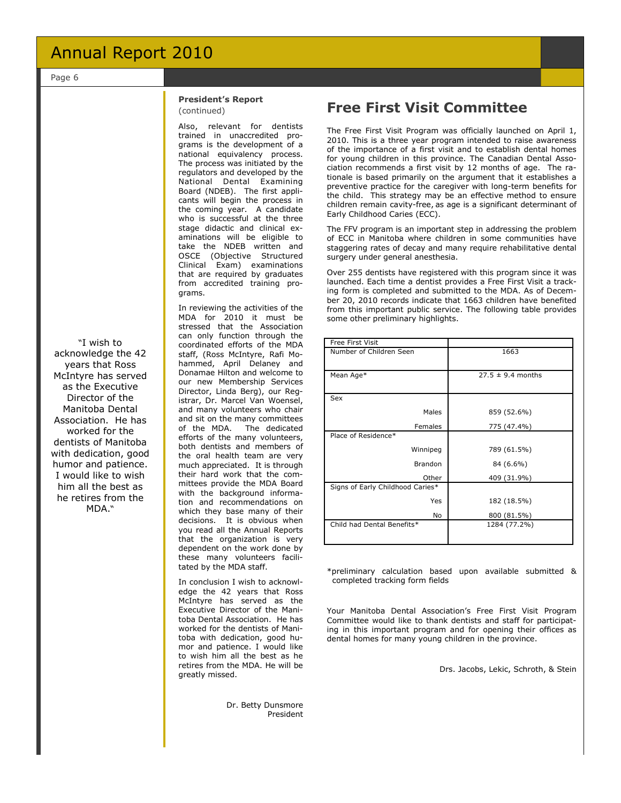Page 6

#### **President's Report**  (continued)

Also, relevant for dentists trained in unaccredited programs is the development of a national equivalency process. The process was initiated by the regulators and developed by the National Dental Examining Board (NDEB). The first applicants will begin the process in the coming year. A candidate who is successful at the three stage didactic and clinical examinations will be eligible to take the NDEB written and OSCE (Objective Structured Clinical Exam) examinations that are required by graduates from accredited training programs.

In reviewing the activities of the MDA for 2010 it must be stressed that the Association can only function through the coordinated efforts of the MDA staff, (Ross McIntyre, Rafi Mohammed, April Delaney and Donamae Hilton and welcome to our new Membership Services Director, Linda Berg), our Registrar, Dr. Marcel Van Woensel, and many volunteers who chair and sit on the many committees<br>of the MDA. The dedicated of the MDA. efforts of the many volunteers, both dentists and members of the oral health team are very much appreciated. It is through their hard work that the committees provide the MDA Board with the background information and recommendations on which they base many of their decisions. It is obvious when you read all the Annual Reports that the organization is very dependent on the work done by these many volunteers facilitated by the MDA staff.

In conclusion I wish to acknowledge the 42 years that Ross McIntyre has served as the Executive Director of the Manitoba Dental Association. He has worked for the dentists of Manitoba with dedication, good humor and patience. I would like to wish him all the best as he retires from the MDA. He will be greatly missed.

> Dr. Betty Dunsmore President

#### **Free First Visit Committee**

The Free First Visit Program was officially launched on April 1, 2010. This is a three year program intended to raise awareness of the importance of a first visit and to establish dental homes for young children in this province. The Canadian Dental Association recommends a first visit by 12 months of age. The rationale is based primarily on the argument that it establishes a preventive practice for the caregiver with long-term benefits for the child. This strategy may be an effective method to ensure children remain cavity-free, as age is a significant determinant of Early Childhood Caries (ECC).

The FFV program is an important step in addressing the problem of ECC in Manitoba where children in some communities have staggering rates of decay and many require rehabilitative dental surgery under general anesthesia.

Over 255 dentists have registered with this program since it was launched. Each time a dentist provides a Free First Visit a tracking form is completed and submitted to the MDA. As of December 20, 2010 records indicate that 1663 children have benefited from this important public service. The following table provides some other preliminary highlights.

| <b>Free First Visit</b>          |                       |
|----------------------------------|-----------------------|
| Number of Children Seen          | 1663                  |
|                                  |                       |
| Mean Age*                        | $27.5 \pm 9.4$ months |
|                                  |                       |
| Sex                              |                       |
| Males                            | 859 (52.6%)           |
| Females                          | 775 (47.4%)           |
| Place of Residence*              |                       |
| Winnipeg                         | 789 (61.5%)           |
| <b>Brandon</b>                   | 84 (6.6%)             |
| Other                            | 409 (31.9%)           |
| Signs of Early Childhood Caries* |                       |
| Yes                              | 182 (18.5%)           |
| No                               | 800 (81.5%)           |
| Child had Dental Benefits*       | 1284 (77.2%)          |
|                                  |                       |

\*preliminary calculation based upon available submitted & completed tracking form fields

Your Manitoba Dental Association's Free First Visit Program Committee would like to thank dentists and staff for participating in this important program and for opening their offices as dental homes for many young children in the province.

Drs. Jacobs, Lekic, Schroth, & Stein

acknowledge the 42 years that Ross McIntyre has served as the Executive Director of the Manitoba Dental Association. He has worked for the dentists of Manitoba with dedication, good humor and patience. I would like to wish him all the best as he retires from the MDA.

―I wish to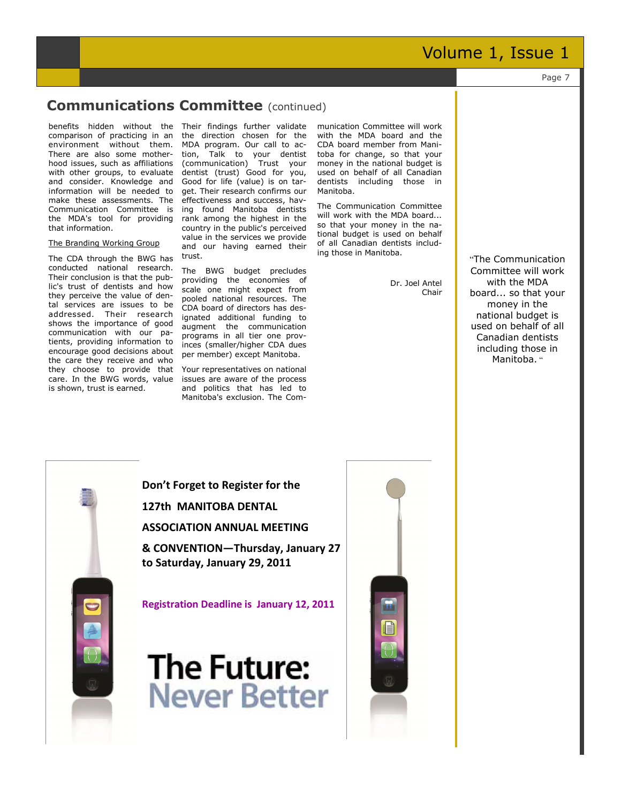Page 7

#### **Communications Committee** (continued)

benefits hidden without the Their findings further validate comparison of practicing in an environment without them. There are also some motherhood issues, such as affiliations with other groups, to evaluate and consider. Knowledge and information will be needed to make these assessments. The Communication Committee is the MDA's tool for providing that information.

#### The Branding Working Group

The CDA through the BWG has conducted national research. Their conclusion is that the public's trust of dentists and how they perceive the value of dental services are issues to be addressed. Their research shows the importance of good communication with our patients, providing information to encourage good decisions about the care they receive and who they choose to provide that care. In the BWG words, value is shown, trust is earned.

the direction chosen for the MDA program. Our call to action, Talk to your dentist (communication) Trust your dentist (trust) Good for you, Good for life (value) is on target. Their research confirms our effectiveness and success, having found Manitoba dentists rank among the highest in the country in the public's perceived value in the services we provide and our having earned their trust.

The BWG budget precludes providing the economies of scale one might expect from pooled national resources. The CDA board of directors has designated additional funding to augment the communication programs in all tier one provinces (smaller/higher CDA dues per member) except Manitoba.

Your representatives on national issues are aware of the process and politics that has led to Manitoba's exclusion. The Com-

munication Committee will work with the MDA board and the CDA board member from Manitoba for change, so that your money in the national budget is used on behalf of all Canadian dentists including those in Manitoba.

The Communication Committee will work with the MDA board... so that your money in the national budget is used on behalf of all Canadian dentists including those in Manitoba.

> Dr. Joel Antel Chair

"The Communication Committee will work with the MDA board... so that your money in the national budget is used on behalf of all Canadian dentists including those in Manitoba. "



**Don't Forget to Register for the 127th MANITOBA DENTAL ASSOCIATION ANNUAL MEETING** 

**& CONVENTION—Thursday, January 27 to Saturday, January 29, 2011**

**Registration Deadline is January 12, 2011**



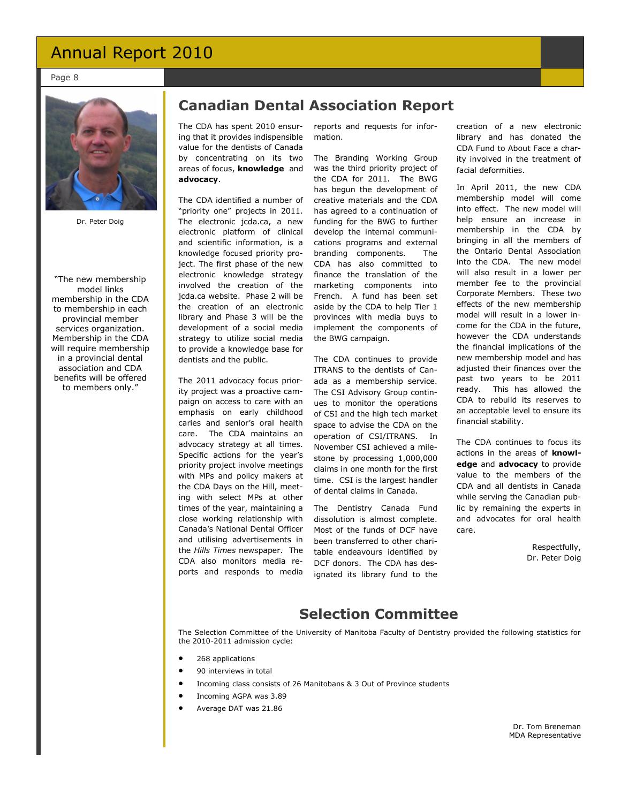Page 8



Dr. Peter Doig

―The new membership model links membership in the CDA to membership in each provincial member services organization. Membership in the CDA will require membership in a provincial dental association and CDA benefits will be offered to members only."

### **Canadian Dental Association Report**

The CDA has spent 2010 ensuring that it provides indispensible value for the dentists of Canada by concentrating on its two areas of focus, **knowledge** and **advocacy**.

The CDA identified a number of "priority one" projects in 2011. The electronic jcda.ca, a new electronic platform of clinical and scientific information, is a knowledge focused priority project. The first phase of the new electronic knowledge strategy involved the creation of the jcda.ca website. Phase 2 will be the creation of an electronic library and Phase 3 will be the development of a social media strategy to utilize social media to provide a knowledge base for dentists and the public.

The 2011 advocacy focus priority project was a proactive campaign on access to care with an emphasis on early childhood caries and senior's oral health care. The CDA maintains an advocacy strategy at all times. Specific actions for the year's priority project involve meetings with MPs and policy makers at the CDA Days on the Hill, meeting with select MPs at other times of the year, maintaining a close working relationship with Canada's National Dental Officer and utilising advertisements in the *Hills Times* newspaper. The CDA also monitors media reports and responds to media

reports and requests for information.

The Branding Working Group was the third priority project of the CDA for 2011. The BWG has begun the development of creative materials and the CDA has agreed to a continuation of funding for the BWG to further develop the internal communications programs and external branding components. The CDA has also committed to finance the translation of the marketing components into French. A fund has been set aside by the CDA to help Tier 1 provinces with media buys to implement the components of the BWG campaign.

The CDA continues to provide ITRANS to the dentists of Canada as a membership service. The CSI Advisory Group continues to monitor the operations of CSI and the high tech market space to advise the CDA on the operation of CSI/ITRANS. In November CSI achieved a milestone by processing 1,000,000 claims in one month for the first time. CSI is the largest handler of dental claims in Canada.

The Dentistry Canada Fund dissolution is almost complete. Most of the funds of DCF have been transferred to other charitable endeavours identified by DCF donors. The CDA has designated its library fund to the creation of a new electronic library and has donated the CDA Fund to About Face a charity involved in the treatment of facial deformities.

In April 2011, the new CDA membership model will come into effect. The new model will help ensure an increase in membership in the CDA by bringing in all the members of the Ontario Dental Association into the CDA. The new model will also result in a lower per member fee to the provincial Corporate Members. These two effects of the new membership model will result in a lower income for the CDA in the future, however the CDA understands the financial implications of the new membership model and has adjusted their finances over the past two years to be 2011 ready. This has allowed the CDA to rebuild its reserves to an acceptable level to ensure its financial stability.

The CDA continues to focus its actions in the areas of **knowledge** and **advocacy** to provide value to the members of the CDA and all dentists in Canada while serving the Canadian public by remaining the experts in and advocates for oral health care.

> Respectfully, Dr. Peter Doig

#### **Selection Committee**

The Selection Committee of the University of Manitoba Faculty of Dentistry provided the following statistics for the 2010-2011 admission cycle:

- 268 applications
- 90 interviews in total
- Incoming class consists of 26 Manitobans & 3 Out of Province students
- Incoming AGPA was 3.89
- Average DAT was 21.86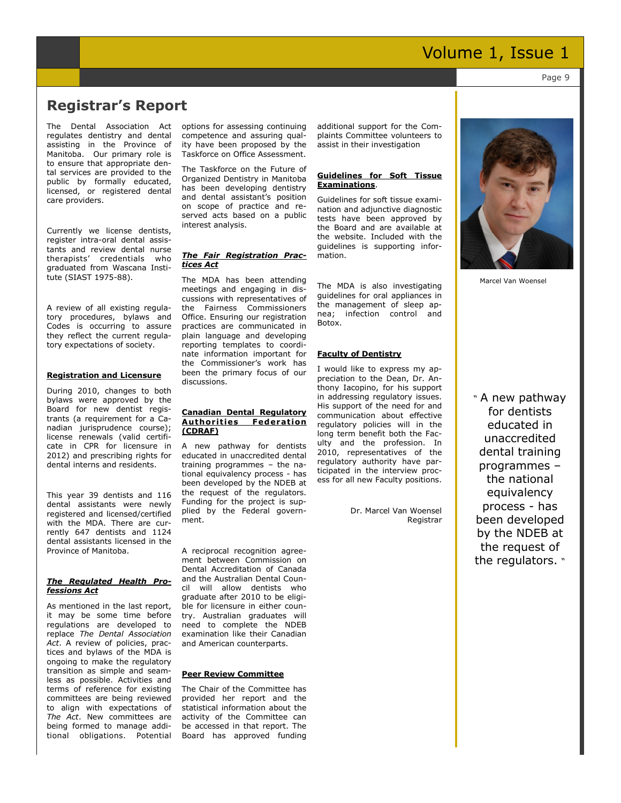Page 9

#### **Registrar's Report**

The Dental Association Act regulates dentistry and dental assisting in the Province of Manitoba. Our primary role is to ensure that appropriate dental services are provided to the public by formally educated, licensed, or registered dental care providers.

Currently we license dentists, register intra-oral dental assistants and review dental nurse therapists' credentials who graduated from Wascana Institute (SIAST 1975-88).

A review of all existing regulatory procedures, bylaws and Codes is occurring to assure they reflect the current regulatory expectations of society.

#### **Registration and Licensure**

During 2010, changes to both bylaws were approved by the Board for new dentist registrants (a requirement for a Canadian jurisprudence course); license renewals (valid certificate in CPR for licensure in 2012) and prescribing rights for dental interns and residents.

This year 39 dentists and 116 dental assistants were newly registered and licensed/certified with the MDA. There are currently 647 dentists and 1124 dental assistants licensed in the Province of Manitoba.

#### *The Regulated Health Professions Act*

As mentioned in the last report, it may be some time before regulations are developed to replace *The Dental Association Act*. A review of policies, practices and bylaws of the MDA is ongoing to make the regulatory transition as simple and seamless as possible. Activities and terms of reference for existing committees are being reviewed to align with expectations of *The Act*. New committees are being formed to manage additional obligations. Potential options for assessing continuing competence and assuring quality have been proposed by the Taskforce on Office Assessment.

The Taskforce on the Future of Organized Dentistry in Manitoba has been developing dentistry and dental assistant's position on scope of practice and reserved acts based on a public interest analysis.

#### *The Fair Registration Practices Act*

The MDA has been attending meetings and engaging in discussions with representatives of the Fairness Commissioners Office. Ensuring our registration practices are communicated in plain language and developing reporting templates to coordinate information important for the Commissioner's work has been the primary focus of our discussions.

#### **Canadian Dental Regulatory Authorities Federation (CDRAF)**

A new pathway for dentists educated in unaccredited dental training programmes – the national equivalency process - has been developed by the NDEB at the request of the regulators. Funding for the project is supplied by the Federal government.

A reciprocal recognition agreement between Commission on Dental Accreditation of Canada and the Australian Dental Council will allow dentists who graduate after 2010 to be eligible for licensure in either country. Australian graduates will need to complete the NDEB examination like their Canadian and American counterparts.

#### **Peer Review Committee**

The Chair of the Committee has provided her report and the statistical information about the activity of the Committee can be accessed in that report. The Board has approved funding additional support for the Complaints Committee volunteers to assist in their investigation

#### **Guidelines for Soft Tissue Examinations**.

Guidelines for soft tissue examination and adjunctive diagnostic tests have been approved by the Board and are available at the website. Included with the guidelines is supporting information.

The MDA is also investigating guidelines for oral appliances in the management of sleep apnea; infection control and Botox.

#### **Faculty of Dentistry**

I would like to express my appreciation to the Dean, Dr. Anthony Iacopino, for his support in addressing regulatory issues. His support of the need for and communication about effective regulatory policies will in the long term benefit both the Faculty and the profession. In 2010, representatives of the regulatory authority have participated in the interview process for all new Faculty positions.

> Dr. Marcel Van Woensel Registrar



Marcel Van Woensel

― A new pathway for dentists educated in unaccredited dental training programmes – the national equivalency process - has been developed by the NDEB at the request of the regulators. v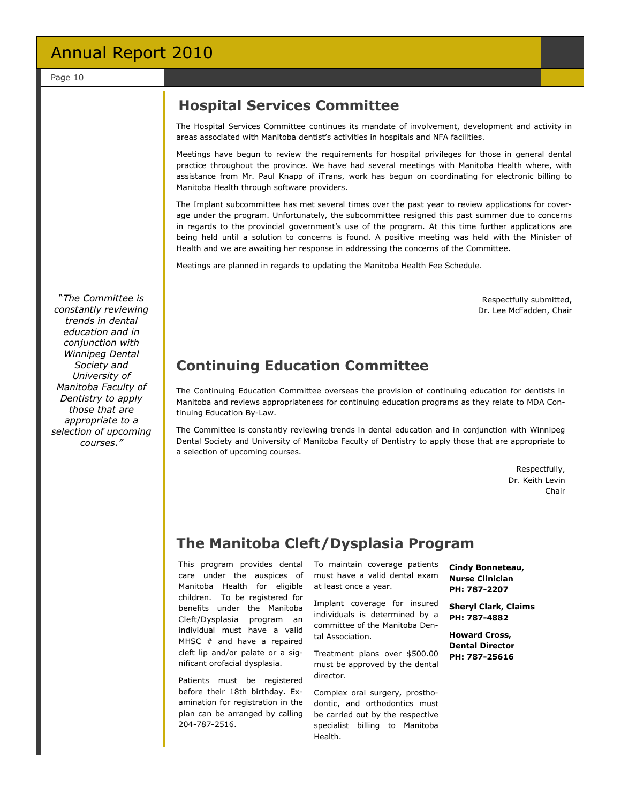#### **Hospital Services Committee**

The Hospital Services Committee continues its mandate of involvement, development and activity in areas associated with Manitoba dentist's activities in hospitals and NFA facilities.

Meetings have begun to review the requirements for hospital privileges for those in general dental practice throughout the province. We have had several meetings with Manitoba Health where, with assistance from Mr. Paul Knapp of iTrans, work has begun on coordinating for electronic billing to Manitoba Health through software providers.

The Implant subcommittee has met several times over the past year to review applications for coverage under the program. Unfortunately, the subcommittee resigned this past summer due to concerns in regards to the provincial government's use of the program. At this time further applications are being held until a solution to concerns is found. A positive meeting was held with the Minister of Health and we are awaiting her response in addressing the concerns of the Committee.

Meetings are planned in regards to updating the Manitoba Health Fee Schedule.

Respectfully submitted, Dr. Lee McFadden, Chair

### **Continuing Education Committee**

The Continuing Education Committee overseas the provision of continuing education for dentists in Manitoba and reviews appropriateness for continuing education programs as they relate to MDA Continuing Education By-Law.

The Committee is constantly reviewing trends in dental education and in conjunction with Winnipeg Dental Society and University of Manitoba Faculty of Dentistry to apply those that are appropriate to a selection of upcoming courses.

> Respectfully, Dr. Keith Levin Chair

### **The Manitoba Cleft/Dysplasia Program**

This program provides dental care under the auspices of Manitoba Health for eligible children. To be registered for benefits under the Manitoba Cleft/Dysplasia program an individual must have a valid MHSC # and have a repaired cleft lip and/or palate or a significant orofacial dysplasia.

Patients must be registered before their 18th birthday. Examination for registration in the plan can be arranged by calling 204-787-2516.

To maintain coverage patients must have a valid dental exam at least once a year.

Implant coverage for insured individuals is determined by a committee of the Manitoba Dental Association.

Treatment plans over \$500.00 must be approved by the dental director.

Complex oral surgery, prosthodontic, and orthodontics must be carried out by the respective specialist billing to Manitoba Health.

**Cindy Bonneteau, Nurse Clinician PH: 787-2207**

**Sheryl Clark, Claims PH: 787-4882**

**Howard Cross, Dental Director PH: 787-25616**

―*The Committee is constantly reviewing trends in dental education and in conjunction with Winnipeg Dental Society and University of Manitoba Faculty of Dentistry to apply those that are appropriate to a selection of upcoming courses."*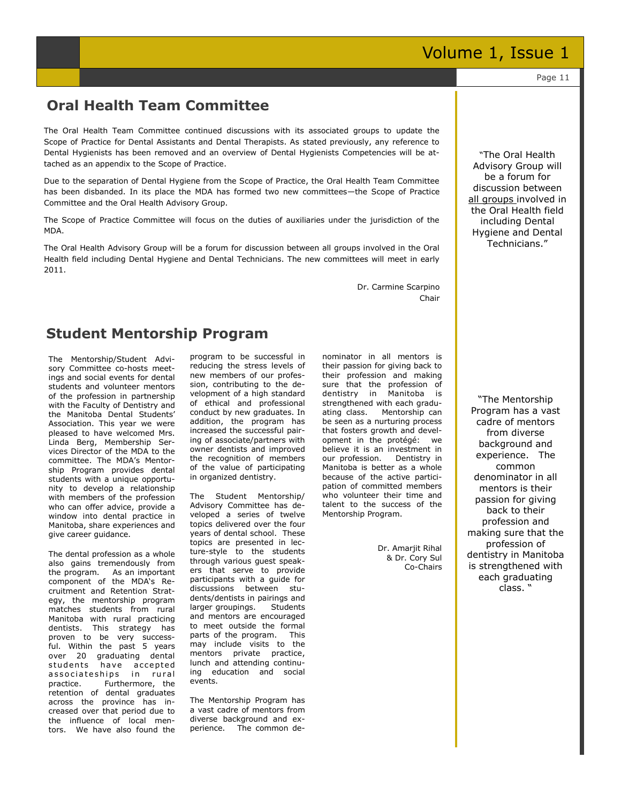#### **Oral Health Team Committee**

The Oral Health Team Committee continued discussions with its associated groups to update the Scope of Practice for Dental Assistants and Dental Therapists. As stated previously, any reference to Dental Hygienists has been removed and an overview of Dental Hygienists Competencies will be attached as an appendix to the Scope of Practice.

Due to the separation of Dental Hygiene from the Scope of Practice, the Oral Health Team Committee has been disbanded. In its place the MDA has formed two new committees—the Scope of Practice Committee and the Oral Health Advisory Group.

The Scope of Practice Committee will focus on the duties of auxiliaries under the jurisdiction of the MDA.

The Oral Health Advisory Group will be a forum for discussion between all groups involved in the Oral Health field including Dental Hygiene and Dental Technicians. The new committees will meet in early 2011.

> Dr. Carmine Scarpino Chair

#### **Student Mentorship Program**

The Mentorship/Student Advisory Committee co-hosts meetings and social events for dental students and volunteer mentors of the profession in partnership with the Faculty of Dentistry and the Manitoba Dental Students' Association. This year we were pleased to have welcomed Mrs. Linda Berg, Membership Services Director of the MDA to the committee. The MDA's Mentorship Program provides dental students with a unique opportunity to develop a relationship with members of the profession who can offer advice, provide a window into dental practice in Manitoba, share experiences and give career guidance.

The dental profession as a whole also gains tremendously from the program. As an important component of the MDA's Recruitment and Retention Strategy, the mentorship program matches students from rural Manitoba with rural practicing dentists. This strategy has proven to be very successful. Within the past 5 years over 20 graduating dental students have accepted associateships in rural practice. Furthermore, the retention of dental graduates across the province has increased over that period due to the influence of local mentors. We have also found the program to be successful in reducing the stress levels of new members of our profession, contributing to the development of a high standard of ethical and professional conduct by new graduates. In addition, the program has increased the successful pairing of associate/partners with owner dentists and improved the recognition of members of the value of participating in organized dentistry.

The Student Mentorship/ Advisory Committee has developed a series of twelve topics delivered over the four years of dental school. These topics are presented in lecture-style to the students through various guest speakers that serve to provide participants with a guide for discussions between students/dentists in pairings and larger groupings. Students and mentors are encouraged to meet outside the formal parts of the program. This may include visits to the mentors private practice, lunch and attending continuing education and social events.

The Mentorship Program has a vast cadre of mentors from diverse background and experience. The common denominator in all mentors is their passion for giving back to their profession and making sure that the profession of dentistry in Manitoba is strengthened with each graduating class. Mentorship can be seen as a nurturing process that fosters growth and development in the protégé: we believe it is an investment in our profession. Dentistry in Manitoba is better as a whole because of the active participation of committed members who volunteer their time and talent to the success of the Mentorship Program.

> Dr. Amarjit Rihal & Dr. Cory Sul Co-Chairs

―The Oral Health Advisory Group will be a forum for discussion between all groups involved in the Oral Health field including Dental Hygiene and Dental Technicians.‖

―The Mentorship Program has a vast cadre of mentors from diverse background and experience. The common denominator in all mentors is their passion for giving back to their profession and making sure that the profession of dentistry in Manitoba is strengthened with each graduating class. ―

Page 11